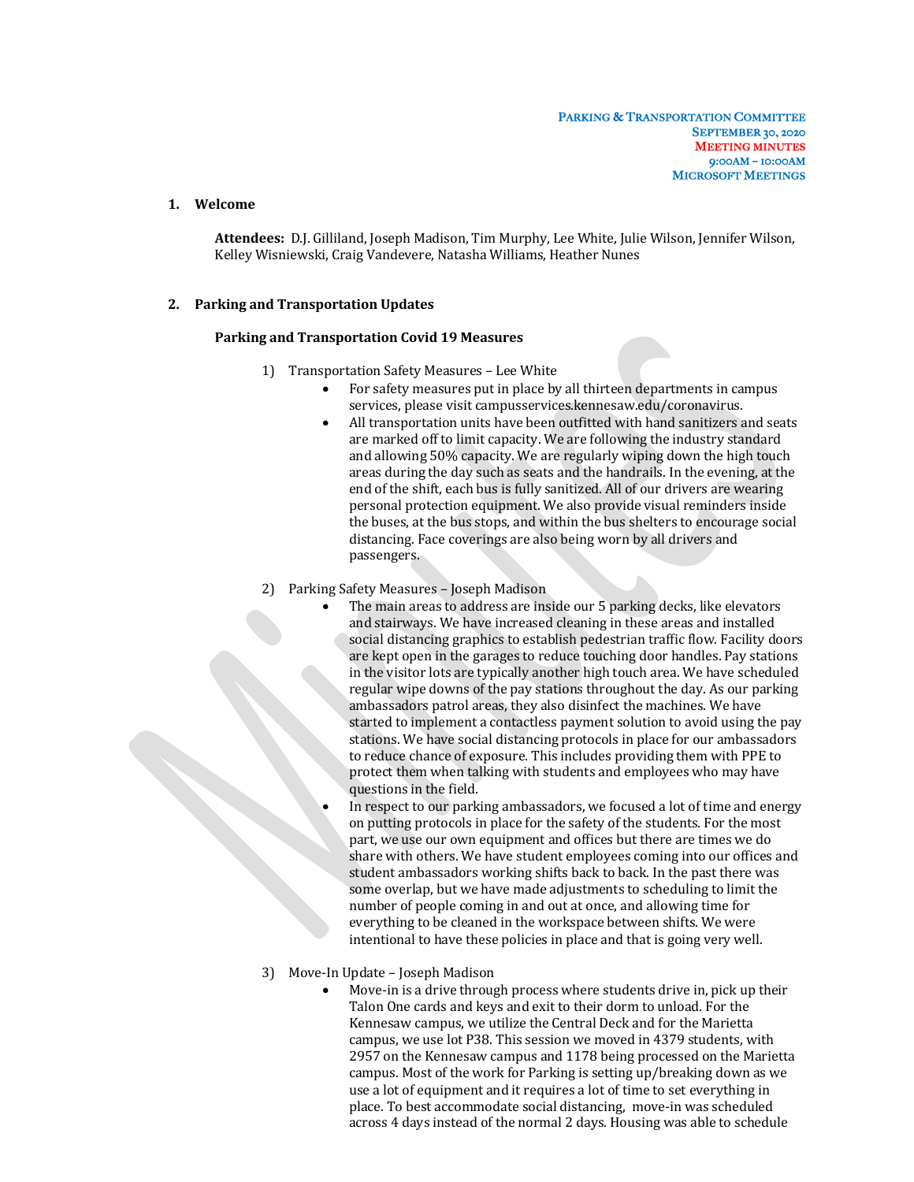## **1. Welcome**

Attendees: D.J. Gilliland, Joseph Madison, Tim Murphy, Lee White, Julie Wilson, Jennifer Wilson, Kelley Wisniewski, Craig Vandevere, Natasha Williams, Heather Nunes

## **2. Parking and Transportation Updates**

## **Parking and Transportation Covid 19 Measures**

- 1) Transportation Safety Measures Lee White
	- For safety measures put in place by all thirteen departments in campus services, please visit campusservices.kennesaw.edu/coronavirus.
	- All transportation units have been outfitted with hand sanitizers and seats are marked off to limit capacity. We are following the industry standard and allowing 50% capacity. We are regularly wiping down the high touch areas during the day such as seats and the handrails. In the evening, at the end of the shift, each bus is fully sanitized. All of our drivers are wearing personal protection equipment. We also provide visual reminders inside the buses, at the bus stops, and within the bus shelters to encourage social distancing. Face coverings are also being worn by all drivers and passengers.
- 2) Parking Safety Measures Joseph Madison
	- The main areas to address are inside our 5 parking decks, like elevators and stairways. We have increased cleaning in these areas and installed social distancing graphics to establish pedestrian traffic flow. Facility doors are kept open in the garages to reduce touching door handles. Pay stations in the visitor lots are typically another high touch area. We have scheduled regular wipe downs of the pay stations throughout the day. As our parking ambassadors patrol areas, they also disinfect the machines. We have started to implement a contactless payment solution to avoid using the pay stations. We have social distancing protocols in place for our ambassadors to reduce chance of exposure. This includes providing them with PPE to protect them when talking with students and employees who may have questions in the field.
	- In respect to our parking ambassadors, we focused a lot of time and energy on putting protocols in place for the safety of the students. For the most part, we use our own equipment and offices but there are times we do share with others. We have student employees coming into our offices and student ambassadors working shifts back to back. In the past there was some overlap, but we have made adjustments to scheduling to limit the number of people coming in and out at once, and allowing time for everything to be cleaned in the workspace between shifts. We were intentional to have these policies in place and that is going very well.
- 3) Move-In Update Joseph Madison
	- Move-in is a drive through process where students drive in, pick up their Talon One cards and keys and exit to their dorm to unload. For the Kennesaw campus, we utilize the Central Deck and for the Marietta campus, we use lot P38. This session we moved in 4379 students, with 2957 on the Kennesaw campus and 1178 being processed on the Marietta campus. Most of the work for Parking is setting up/breaking down as we use a lot of equipment and it requires a lot of time to set everything in place. To best accommodate social distancing, move-in was scheduled across 4 days instead of the normal 2 days. Housing was able to schedule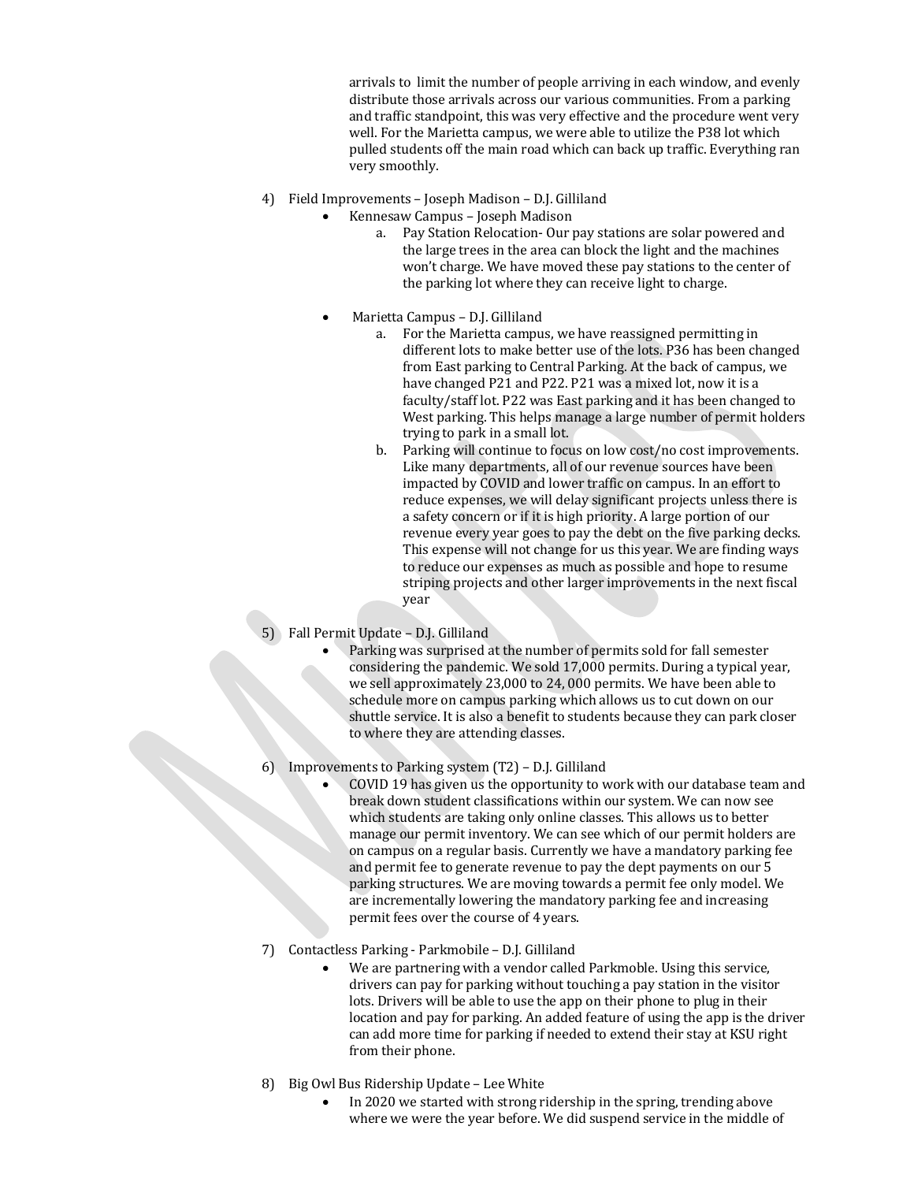arrivals to limit the number of people arriving in each window, and evenly distribute those arrivals across our various communities. From a parking and traffic standpoint, this was very effective and the procedure went very well. For the Marietta campus, we were able to utilize the P38 lot which pulled students off the main road which can back up traffic. Everything ran very smoothly.

- 4) Field Improvements Joseph Madison D.J. Gilliland
	- Kennesaw Campus – Joseph Madison
		- Pay Station Relocation- Our pay stations are solar powered and the large trees in the area can block the light and the machines won't charge. We have moved these pay stations to the center of the parking lot where they can receive light to charge.
	- Marietta Campus D.J. Gilliland
		- a. For the Marietta campus, we have reassigned permitting in different lots to make better use of the lots. P36 has been changed from East parking to Central Parking. At the back of campus, we have changed P21 and P22. P21 was a mixed lot, now it is a faculty/staff lot. P22 was East parking and it has been changed to West parking. This helps manage a large number of permit holders trying to park in a small lot.
		- b. Parking will continue to focus on low cost/no cost improvements. Like many departments, all of our revenue sources have been impacted by COVID and lower traffic on campus. In an effort to reduce expenses, we will delay significant projects unless there is a safety concern or if it is high priority. A large portion of our revenue every year goes to pay the debt on the five parking decks. This expense will not change for us this year. We are finding ways to reduce our expenses as much as possible and hope to resume striping projects and other larger improvements in the next fiscal year
- 5) Fall Permit Update D.J. Gilliland
	- Parking was surprised at the number of permits sold for fall semester considering the pandemic. We sold 17,000 permits. During a typical year, we sell approximately 23,000 to 24,000 permits. We have been able to schedule more on campus parking which allows us to cut down on our shuttle service. It is also a benefit to students because they can park closer to where they are attending classes.
- 6) Improvements to Parking system  $(T2)$  D.J. Gilliland
	- COVID 19 has given us the opportunity to work with our database team and break down student classifications within our system. We can now see which students are taking only online classes. This allows us to better manage our permit inventory. We can see which of our permit holders are on campus on a regular basis. Currently we have a mandatory parking fee and permit fee to generate revenue to pay the dept payments on our 5 parking structures. We are moving towards a permit fee only model. We are incrementally lowering the mandatory parking fee and increasing permit fees over the course of 4 years.
- 7) Contactless Parking Parkmobile D.J. Gilliland
	- We are partnering with a vendor called Parkmoble. Using this service, drivers can pay for parking without touching a pay station in the visitor lots. Drivers will be able to use the app on their phone to plug in their location and pay for parking. An added feature of using the app is the driver can add more time for parking if needed to extend their stay at KSU right from their phone.
- 8) Big Owl Bus Ridership Update Lee White
	- In 2020 we started with strong ridership in the spring, trending above where we were the year before. We did suspend service in the middle of